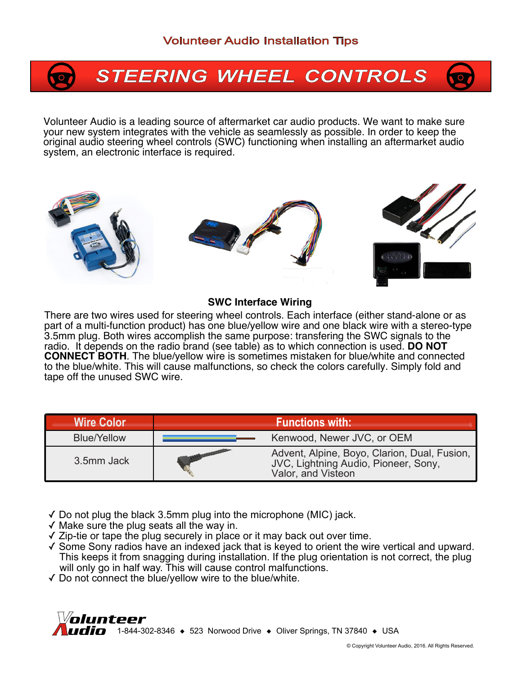# **STEERING WHEEL CONTROLS**

Volunteer Audio is a leading source of aftermarket car audio products. We want to make sure your new system integrates with the vehicle as seamlessly as possible. In order to keep the original audio steering wheel controls (SWC) functioning when installing an aftermarket audio system, an electronic interface is required.



#### **SWC Interface Wiring**

There are two wires used for steering wheel controls. Each interface (either stand-alone or as part of a multi-function product) has one blue/yellow wire and one black wire with a stereo-type 3.5mm plug. Both wires accomplish the same purpose: transfering the SWC signals to the radio. It depends on the radio brand (see table) as to which connection is used. **DO NOT CONNECT BOTH**. The blue/yellow wire is sometimes mistaken for blue/white and connected to the blue/white. This will cause malfunctions, so check the colors carefully. Simply fold and tape off the unused SWC wire.

| <b>Wire Color</b>  | <b>Functions with:</b> |                                                                                                         |
|--------------------|------------------------|---------------------------------------------------------------------------------------------------------|
| <b>Blue/Yellow</b> |                        | Kenwood, Newer JVC, or OEM                                                                              |
| 3.5mm Jack         |                        | Advent, Alpine, Boyo, Clarion, Dual, Fusion, JVC, Lightning Audio, Pioneer, Sony,<br>Valor, and Visteon |

- $\sqrt{2}$  Do not plug the black 3.5mm plug into the microphone (MIC) jack.
- ✓ Make sure the plug seats all the way in.
- ✓ Zip-tie or tape the plug securely in place or it may back out over time.
- ✓ Some Sony radios have an indexed jack that is keyed to orient the wire vertical and upward. This keeps it from snagging during installation. If the plug orientation is not correct, the plug will only go in half way. This will cause control malfunctions.
- ✓ Do not connect the blue/yellow wire to the blue/white.